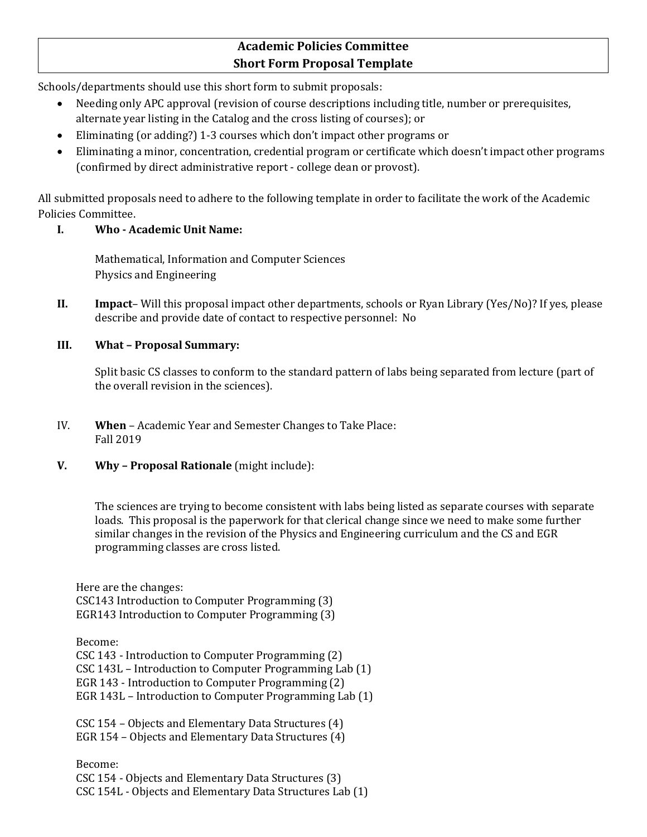## **Academic Policies Committee Short Form Proposal Template**

Schools/departments should use this short form to submit proposals:

- Needing only APC approval (revision of course descriptions including title, number or prerequisites, alternate year listing in the Catalog and the cross listing of courses); or
- Eliminating (or adding?) 1-3 courses which don't impact other programs or
- Eliminating a minor, concentration, credential program or certificate which doesn't impact other programs (confirmed by direct administrative report - college dean or provost).

All submitted proposals need to adhere to the following template in order to facilitate the work of the Academic Policies Committee.

## **I. Who - Academic Unit Name:**

Mathematical, Information and Computer Sciences Physics and Engineering

**II. Impact**– Will this proposal impact other departments, schools or Ryan Library (Yes/No)? If yes, please describe and provide date of contact to respective personnel: No

## **III. What – Proposal Summary:**

Split basic CS classes to conform to the standard pattern of labs being separated from lecture (part of the overall revision in the sciences).

- IV. **When** Academic Year and Semester Changes to Take Place: Fall 2019
- **V. Why – Proposal Rationale** (might include):

The sciences are trying to become consistent with labs being listed as separate courses with separate loads. This proposal is the paperwork for that clerical change since we need to make some further similar changes in the revision of the Physics and Engineering curriculum and the CS and EGR programming classes are cross listed.

Here are the changes: CSC143 Introduction to Computer Programming (3) EGR143 Introduction to Computer Programming (3)

Become: CSC 143 - Introduction to Computer Programming (2) CSC 143L – Introduction to Computer Programming Lab (1) EGR 143 - Introduction to Computer Programming (2) EGR 143L – Introduction to Computer Programming Lab (1)

CSC 154 – Objects and Elementary Data Structures (4) EGR 154 – Objects and Elementary Data Structures (4)

Become: CSC 154 - Objects and Elementary Data Structures (3) CSC 154L - Objects and Elementary Data Structures Lab (1)